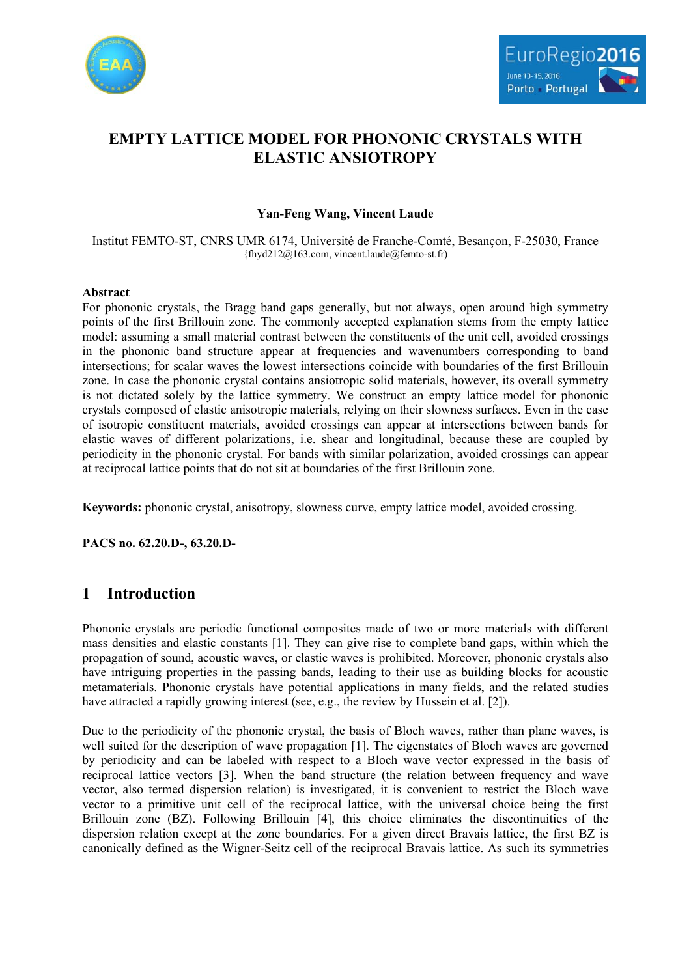



# **EMPTY LATTICE MODEL FOR PHONONIC CRYSTALS WITH ELASTIC ANSIOTROPY**

### **Yan-Feng Wang, Vincent Laude**

Institut FEMTO-ST, CNRS UMR 6174, Université de Franche-Comté, Besançon, F-25030, France {fhyd212@163.com, vincent.laude@femto-st.fr)

#### **Abstract**

For phononic crystals, the Bragg band gaps generally, but not always, open around high symmetry points of the first Brillouin zone. The commonly accepted explanation stems from the empty lattice model: assuming a small material contrast between the constituents of the unit cell, avoided crossings in the phononic band structure appear at frequencies and wavenumbers corresponding to band intersections; for scalar waves the lowest intersections coincide with boundaries of the first Brillouin zone. In case the phononic crystal contains ansiotropic solid materials, however, its overall symmetry is not dictated solely by the lattice symmetry. We construct an empty lattice model for phononic crystals composed of elastic anisotropic materials, relying on their slowness surfaces. Even in the case of isotropic constituent materials, avoided crossings can appear at intersections between bands for elastic waves of different polarizations, i.e. shear and longitudinal, because these are coupled by periodicity in the phononic crystal. For bands with similar polarization, avoided crossings can appear at reciprocal lattice points that do not sit at boundaries of the first Brillouin zone.

**Keywords:** phononic crystal, anisotropy, slowness curve, empty lattice model, avoided crossing.

**PACS no. 62.20.D-, 63.20.D-**

## **1 Introduction**

Phononic crystals are periodic functional composites made of two or more materials with different mass densities and elastic constants [1]. They can give rise to complete band gaps, within which the propagation of sound, acoustic waves, or elastic waves is prohibited. Moreover, phononic crystals also have intriguing properties in the passing bands, leading to their use as building blocks for acoustic metamaterials. Phononic crystals have potential applications in many fields, and the related studies have attracted a rapidly growing interest (see, e.g., the review by Hussein et al. [2]).

Due to the periodicity of the phononic crystal, the basis of Bloch waves, rather than plane waves, is well suited for the description of wave propagation [1]. The eigenstates of Bloch waves are governed by periodicity and can be labeled with respect to a Bloch wave vector expressed in the basis of reciprocal lattice vectors [3]. When the band structure (the relation between frequency and wave vector, also termed dispersion relation) is investigated, it is convenient to restrict the Bloch wave vector to a primitive unit cell of the reciprocal lattice, with the universal choice being the first Brillouin zone (BZ). Following Brillouin [4], this choice eliminates the discontinuities of the dispersion relation except at the zone boundaries. For a given direct Bravais lattice, the first BZ is canonically defined as the Wigner-Seitz cell of the reciprocal Bravais lattice. As such its symmetries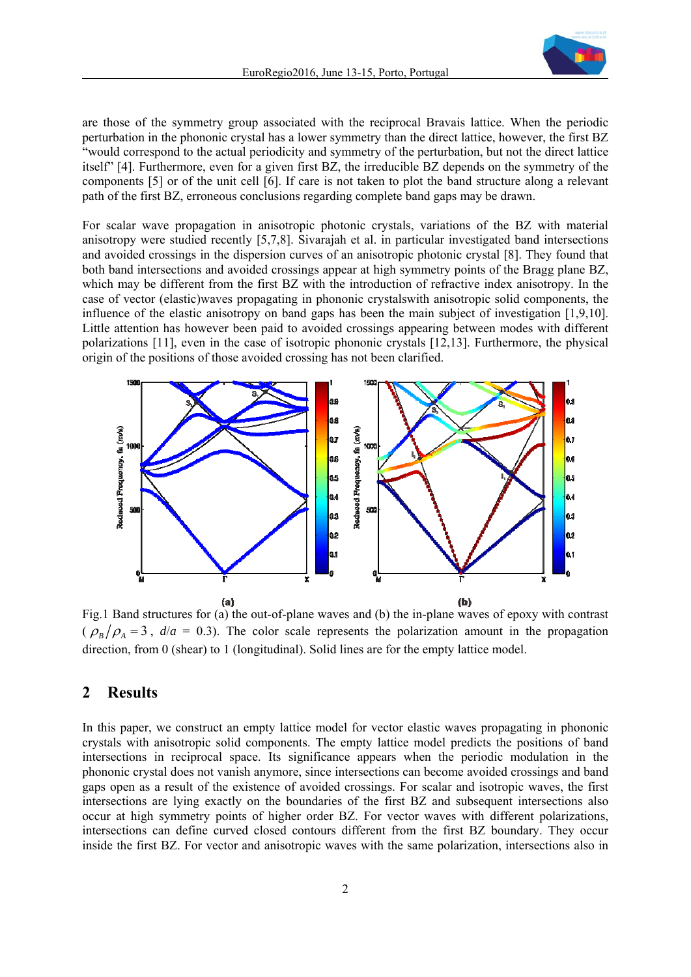

are those of the symmetry group associated with the reciprocal Bravais lattice. When the periodic perturbation in the phononic crystal has a lower symmetry than the direct lattice, however, the first BZ "would correspond to the actual periodicity and symmetry of the perturbation, but not the direct lattice itself" [4]. Furthermore, even for a given first BZ, the irreducible BZ depends on the symmetry of the components [5] or of the unit cell [6]. If care is not taken to plot the band structure along a relevant path of the first BZ, erroneous conclusions regarding complete band gaps may be drawn.

For scalar wave propagation in anisotropic photonic crystals, variations of the BZ with material anisotropy were studied recently [5,7,8]. Sivarajah et al. in particular investigated band intersections and avoided crossings in the dispersion curves of an anisotropic photonic crystal [8]. They found that both band intersections and avoided crossings appear at high symmetry points of the Bragg plane BZ, which may be different from the first BZ with the introduction of refractive index anisotropy. In the case of vector (elastic)waves propagating in phononic crystalswith anisotropic solid components, the influence of the elastic anisotropy on band gaps has been the main subject of investigation [1,9,10]. Little attention has however been paid to avoided crossings appearing between modes with different polarizations [11], even in the case of isotropic phononic crystals [12,13]. Furthermore, the physical origin of the positions of those avoided crossing has not been clarified.



Fig.1 Band structures for (a) the out-of-plane waves and (b) the in-plane waves of epoxy with contrast  $(\rho_B/\rho_A = 3$ ,  $d/a = 0.3$ ). The color scale represents the polarization amount in the propagation direction, from 0 (shear) to 1 (longitudinal). Solid lines are for the empty lattice model.

### **2 Results**

In this paper, we construct an empty lattice model for vector elastic waves propagating in phononic crystals with anisotropic solid components. The empty lattice model predicts the positions of band intersections in reciprocal space. Its significance appears when the periodic modulation in the phononic crystal does not vanish anymore, since intersections can become avoided crossings and band gaps open as a result of the existence of avoided crossings. For scalar and isotropic waves, the first intersections are lying exactly on the boundaries of the first BZ and subsequent intersections also occur at high symmetry points of higher order BZ. For vector waves with different polarizations, intersections can define curved closed contours different from the first BZ boundary. They occur inside the first BZ. For vector and anisotropic waves with the same polarization, intersections also in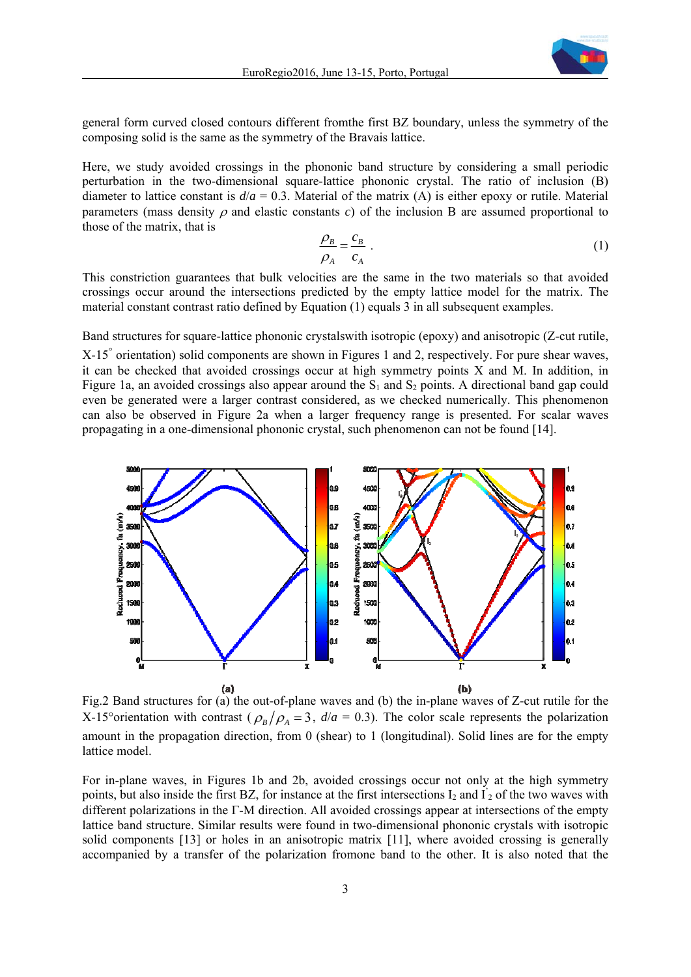

general form curved closed contours different fromthe first BZ boundary, unless the symmetry of the composing solid is the same as the symmetry of the Bravais lattice.

Here, we study avoided crossings in the phononic band structure by considering a small periodic perturbation in the two-dimensional square-lattice phononic crystal. The ratio of inclusion (B) diameter to lattice constant is  $d/a = 0.3$ . Material of the matrix (A) is either epoxy or rutile. Material parameters (mass density  $\rho$  and elastic constants  $c$ ) of the inclusion B are assumed proportional to those of the matrix, that is

$$
\frac{\rho_B}{\rho_A} = \frac{c_B}{c_A} \tag{1}
$$

This constriction guarantees that bulk velocities are the same in the two materials so that avoided crossings occur around the intersections predicted by the empty lattice model for the matrix. The material constant contrast ratio defined by Equation (1) equals 3 in all subsequent examples.

Band structures for square-lattice phononic crystalswith isotropic (epoxy) and anisotropic (Z-cut rutile,

X-15<sup>°</sup> orientation) solid components are shown in Figures 1 and 2, respectively. For pure shear waves, it can be checked that avoided crossings occur at high symmetry points X and M. In addition, in Figure 1a, an avoided crossings also appear around the  $S_1$  and  $S_2$  points. A directional band gap could even be generated were a larger contrast considered, as we checked numerically. This phenomenon can also be observed in Figure 2a when a larger frequency range is presented. For scalar waves propagating in a one-dimensional phononic crystal, such phenomenon can not be found [14].



Fig.2 Band structures for (a) the out-of-plane waves and (b) the in-plane waves of Z-cut rutile for the X-15° orientation with contrast ( $\rho_B/\rho_A = 3$ ,  $d/a = 0.3$ ). The color scale represents the polarization amount in the propagation direction, from 0 (shear) to 1 (longitudinal). Solid lines are for the empty lattice model.

For in-plane waves, in Figures 1b and 2b, avoided crossings occur not only at the high symmetry points, but also inside the first BZ, for instance at the first intersections  $I_2$  and  $I_2$  of the two waves with different polarizations in the  $\Gamma$ -M direction. All avoided crossings appear at intersections of the empty lattice band structure. Similar results were found in two-dimensional phononic crystals with isotropic solid components [13] or holes in an anisotropic matrix [11], where avoided crossing is generally accompanied by a transfer of the polarization fromone band to the other. It is also noted that the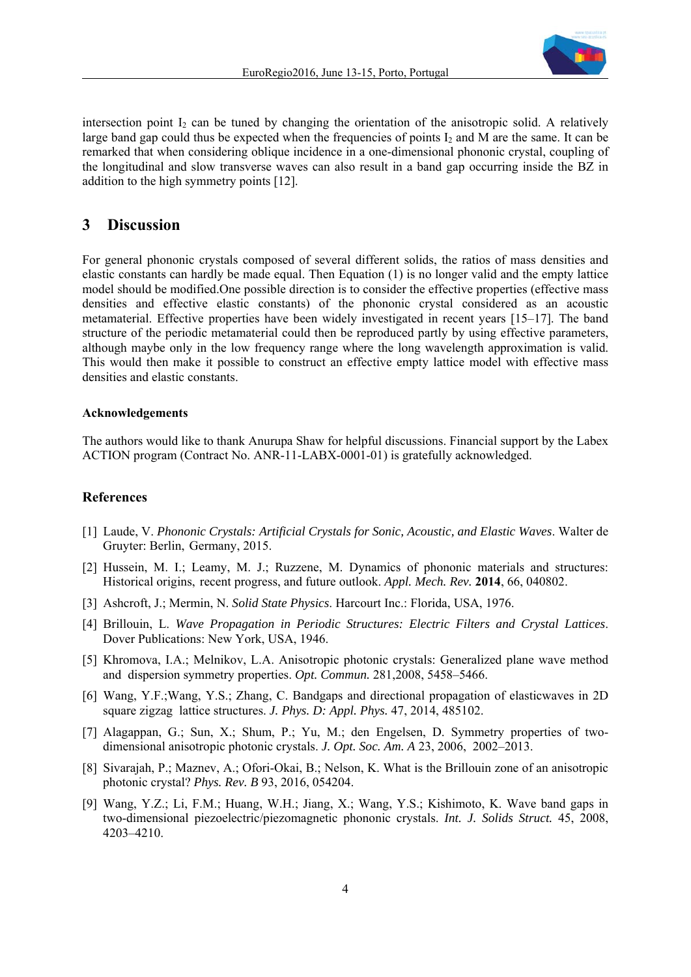

intersection point  $I_2$  can be tuned by changing the orientation of the anisotropic solid. A relatively large band gap could thus be expected when the frequencies of points  $I_2$  and M are the same. It can be remarked that when considering oblique incidence in a one-dimensional phononic crystal, coupling of the longitudinal and slow transverse waves can also result in a band gap occurring inside the BZ in addition to the high symmetry points [12].

### **3 Discussion**

For general phononic crystals composed of several different solids, the ratios of mass densities and elastic constants can hardly be made equal. Then Equation (1) is no longer valid and the empty lattice model should be modified.One possible direction is to consider the effective properties (effective mass densities and effective elastic constants) of the phononic crystal considered as an acoustic metamaterial. Effective properties have been widely investigated in recent years [15–17]. The band structure of the periodic metamaterial could then be reproduced partly by using effective parameters, although maybe only in the low frequency range where the long wavelength approximation is valid. This would then make it possible to construct an effective empty lattice model with effective mass densities and elastic constants.

#### **Acknowledgements**

The authors would like to thank Anurupa Shaw for helpful discussions. Financial support by the Labex ACTION program (Contract No. ANR-11-LABX-0001-01) is gratefully acknowledged.

#### **References**

- [1] Laude, V. *Phononic Crystals: Artificial Crystals for Sonic, Acoustic, and Elastic Waves*. Walter de Gruyter: Berlin, Germany, 2015.
- [2] Hussein, M. I.; Leamy, M. J.; Ruzzene, M. Dynamics of phononic materials and structures: Historical origins, recent progress, and future outlook. *Appl. Mech. Rev.* **2014**, 66, 040802.
- [3] Ashcroft, J.; Mermin, N. *Solid State Physics*. Harcourt Inc.: Florida, USA, 1976.
- [4] Brillouin, L. *Wave Propagation in Periodic Structures: Electric Filters and Crystal Lattices*. Dover Publications: New York, USA, 1946.
- [5] Khromova, I.A.; Melnikov, L.A. Anisotropic photonic crystals: Generalized plane wave method and dispersion symmetry properties. *Opt. Commun.* 281,2008, 5458–5466.
- [6] Wang, Y.F.;Wang, Y.S.; Zhang, C. Bandgaps and directional propagation of elasticwaves in 2D square zigzag lattice structures. *J. Phys. D: Appl. Phys.* 47, 2014, 485102.
- [7] Alagappan, G.; Sun, X.; Shum, P.; Yu, M.; den Engelsen, D. Symmetry properties of twodimensional anisotropic photonic crystals. *J. Opt. Soc. Am. A* 23, 2006, 2002–2013.
- [8] Sivarajah, P.; Maznev, A.; Ofori-Okai, B.; Nelson, K. What is the Brillouin zone of an anisotropic photonic crystal? *Phys. Rev. B* 93, 2016, 054204.
- [9] Wang, Y.Z.; Li, F.M.; Huang, W.H.; Jiang, X.; Wang, Y.S.; Kishimoto, K. Wave band gaps in two-dimensional piezoelectric/piezomagnetic phononic crystals. *Int. J. Solids Struct.* 45, 2008, 4203–4210.